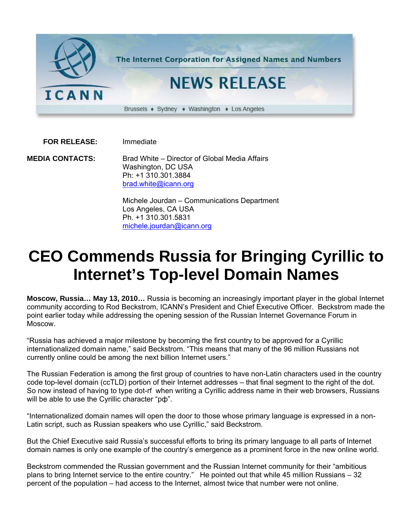

 **FOR RELEASE:** Immediate

**MEDIA CONTACTS:** Brad White – Director of Global Media Affairs Washington, DC USA Ph: +1 310.301.3884 [brad.white@icann.org](mailto:brad.white@icann.org)

> Michele Jourdan – Communications Department Los Angeles, CA USA Ph. +1 310.301.5831 [michele.jourdan@icann.org](mailto:michele.jourdan@icann.org)

## **CEO Commends Russia for Bringing Cyrillic to Internet's Top-level Domain Names**

**Moscow, Russia… May 13, 2010…** Russia is becoming an increasingly important player in the global Internet community according to Rod Beckstrom, ICANN's President and Chief Executive Officer. Beckstrom made the point earlier today while addressing the opening session of the Russian Internet Governance Forum in Moscow.

"Russia has achieved a major milestone by becoming the first country to be approved for a Cyrillic internationalized domain name," said Beckstrom. "This means that many of the 96 million Russians not currently online could be among the next billion Internet users."

The Russian Federation is among the first group of countries to have non-Latin characters used in the country code top-level domain (ccTLD) portion of their Internet addresses – that final segment to the right of the dot. So now instead of having to type dot-rf when writing a Cyrillic address name in their web browsers, Russians will be able to use the Cyrillic character "рф".

"Internationalized domain names will open the door to those whose primary language is expressed in a non-Latin script, such as Russian speakers who use Cyrillic," said Beckstrom.

But the Chief Executive said Russia's successful efforts to bring its primary language to all parts of Internet domain names is only one example of the country's emergence as a prominent force in the new online world.

Beckstrom commended the Russian government and the Russian Internet community for their "ambitious plans to bring Internet service to the entire country." He pointed out that while 45 million Russians – 32 percent of the population – had access to the Internet, almost twice that number were not online.